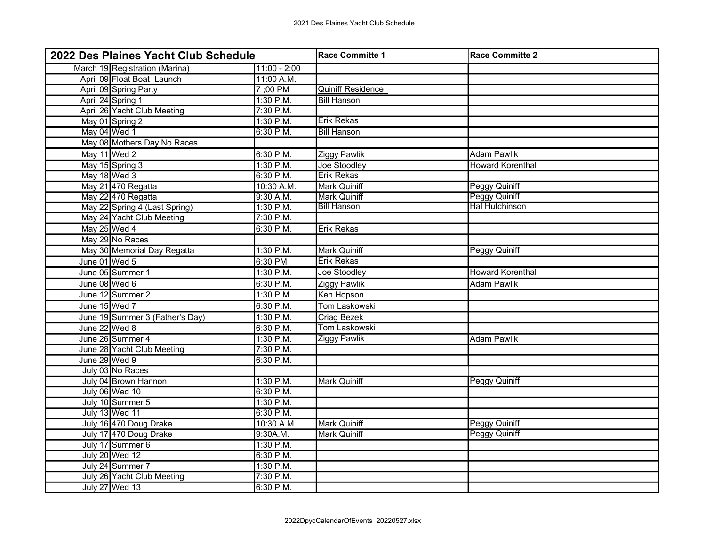| 2022 Des Plaines Yacht Club Schedule |                | Race Committe 1          | <b>Race Committe 2</b>  |
|--------------------------------------|----------------|--------------------------|-------------------------|
| March 19 Registration (Marina)       | $11:00 - 2:00$ |                          |                         |
| April 09 Float Boat Launch           | 11:00 A.M.     |                          |                         |
| April 09 Spring Party                | 7 ;00 PM       | <b>Quiniff Residence</b> |                         |
| April 24 Spring 1                    | 1:30 P.M.      | <b>Bill Hanson</b>       |                         |
| April 26 Yacht Club Meeting          | 7:30 P.M.      |                          |                         |
| May 01 Spring 2                      | $1:30$ P.M.    | <b>Erik Rekas</b>        |                         |
| May 04 Wed 1                         | 6:30 P.M.      | <b>Bill Hanson</b>       |                         |
| May 08 Mothers Day No Races          |                |                          |                         |
| May 11 Wed 2                         | 6:30 P.M.      | Ziggy Pawlik             | <b>Adam Pawlik</b>      |
| May 15 Spring 3                      | 1:30 P.M.      | Joe Stoodley             | <b>Howard Korenthal</b> |
| May 18 Wed 3                         | 6:30 P.M.      | <b>Erik Rekas</b>        |                         |
| May 21 470 Regatta                   | 10:30 A.M.     | <b>Mark Quiniff</b>      | <b>Peggy Quiniff</b>    |
| May 22 470 Regatta                   | 9:30 A.M.      | <b>Mark Quiniff</b>      | Peggy Quiniff           |
| May 22 Spring 4 (Last Spring)        | 1:30 P.M.      | <b>Bill Hanson</b>       | <b>Hal Hutchinson</b>   |
| May 24 Yacht Club Meeting            | 7:30 P.M.      |                          |                         |
| May 25 Wed 4                         | 6:30 P.M.      | Erik Rekas               |                         |
| May 29 No Races                      |                |                          |                         |
| May 30 Memorial Day Regatta          | 1:30 P.M.      | <b>Mark Quiniff</b>      | <b>Peggy Quiniff</b>    |
| June 01 Wed 5                        | 6:30 PM        | <b>Erik Rekas</b>        |                         |
| June 05 Summer 1                     | 1:30 P.M.      | Joe Stoodley             | <b>Howard Korenthal</b> |
| June 08 Wed 6                        | 6:30 P.M.      | <b>Ziggy Pawlik</b>      | <b>Adam Pawlik</b>      |
| June 12 Summer 2                     | 1:30 P.M.      | Ken Hopson               |                         |
| June 15 Wed 7                        | 6:30 P.M.      | <b>Tom Laskowski</b>     |                         |
| June 19 Summer 3 (Father's Day)      | 1:30 P.M.      | Criag Bezek              |                         |
| June 22 Wed 8                        | 6:30 P.M.      | <b>Tom Laskowski</b>     |                         |
| June 26 Summer 4                     | 1:30 P.M.      | <b>Ziggy Pawlik</b>      | <b>Adam Pawlik</b>      |
| June 28 Yacht Club Meeting           | 7:30 P.M.      |                          |                         |
| June 29 Wed 9                        | 6:30 P.M.      |                          |                         |
| July 03 No Races                     |                |                          |                         |
| July 04 Brown Hannon                 | 1:30 P.M.      | <b>Mark Quiniff</b>      | <b>Peggy Quiniff</b>    |
| July 06 Wed 10                       | 6:30 P.M.      |                          |                         |
| July 10 Summer 5                     | $1:30$ P.M.    |                          |                         |
| July 13 Wed 11                       | 6:30 P.M.      |                          |                         |
| July 16 470 Doug Drake               | 10:30 A.M.     | <b>Mark Quiniff</b>      | <b>Peggy Quiniff</b>    |
| July 17 470 Doug Drake               | 9:30A.M.       | Mark Quiniff             | <b>Peggy Quiniff</b>    |
| July 17 Summer 6                     | 1:30 P.M.      |                          |                         |
| <b>July 20 Wed 12</b>                | 6:30 P.M.      |                          |                         |
| July 24 Summer 7                     | 1:30 P.M.      |                          |                         |
| July 26 Yacht Club Meeting           | 7:30 P.M.      |                          |                         |
| July 27 Wed 13                       | 6:30 P.M.      |                          |                         |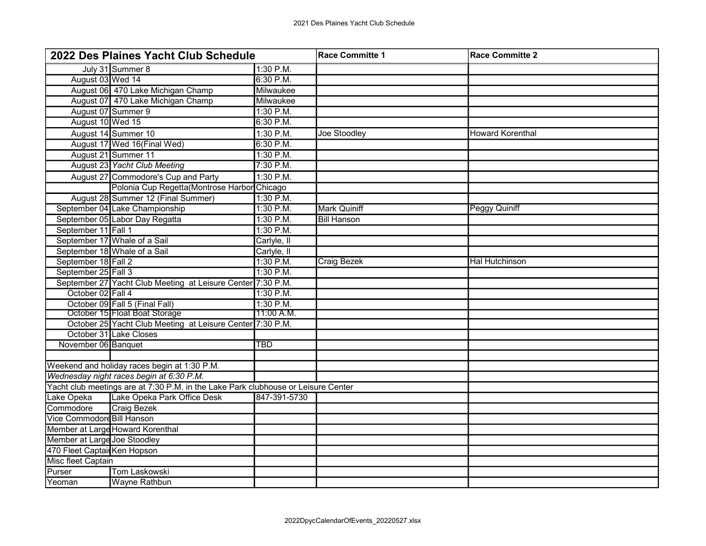| 2022 Des Plaines Yacht Club Schedule |                                                                                   | Race Committe 1 | <b>Race Committe 2</b> |                         |  |
|--------------------------------------|-----------------------------------------------------------------------------------|-----------------|------------------------|-------------------------|--|
|                                      | July 31 Summer 8                                                                  | 1:30 P.M.       |                        |                         |  |
| August 03 Wed 14                     |                                                                                   | 6:30 P.M.       |                        |                         |  |
|                                      | August 06 470 Lake Michigan Champ                                                 | Milwaukee       |                        |                         |  |
|                                      | August 07 470 Lake Michigan Champ                                                 | Milwaukee       |                        |                         |  |
| August 07 Summer 9                   |                                                                                   | 1:30 P.M.       |                        |                         |  |
| August 10 Wed 15                     |                                                                                   | 6:30 P.M.       |                        |                         |  |
|                                      | August 14 Summer 10                                                               | 1:30 P.M.       | Joe Stoodley           | <b>Howard Korenthal</b> |  |
|                                      | August 17 Wed 16(Final Wed)                                                       | 6:30 P.M.       |                        |                         |  |
|                                      | August 21 Summer 11                                                               | $1:30$ P.M.     |                        |                         |  |
|                                      | August 23 Yacht Club Meeting                                                      | 7:30 P.M.       |                        |                         |  |
|                                      | August 27 Commodore's Cup and Party                                               | 1:30 P.M.       |                        |                         |  |
|                                      | Polonia Cup Regetta (Montrose Harbor Chicago                                      |                 |                        |                         |  |
|                                      | August 28 Summer 12 (Final Summer)                                                | 1:30 P.M.       |                        |                         |  |
|                                      | September 04 Lake Championship                                                    | 1:30 P.M.       | <b>Mark Quiniff</b>    | <b>Peggy Quiniff</b>    |  |
|                                      | September 05 Labor Day Regatta                                                    | 1:30 P.M.       | <b>Bill Hanson</b>     |                         |  |
| September 11 Fall 1                  |                                                                                   | 1:30 P.M.       |                        |                         |  |
|                                      | September 17 Whale of a Sail                                                      | Carlyle, II     |                        |                         |  |
|                                      | September 18 Whale of a Sail                                                      | Carlyle, II     |                        |                         |  |
| September 18 Fall 2                  |                                                                                   | 1:30 P.M.       | <b>Craig Bezek</b>     | <b>Hal Hutchinson</b>   |  |
| September 25 Fall 3                  |                                                                                   | 1:30 P.M.       |                        |                         |  |
|                                      | September 27 Yacht Club Meeting at Leisure Center 7:30 P.M.                       |                 |                        |                         |  |
| October 02 Fall 4                    |                                                                                   | 1:30 P.M.       |                        |                         |  |
|                                      | October 09 Fall 5 (Final Fall)                                                    | 1:30 P.M.       |                        |                         |  |
|                                      | October 15 Float Boat Storage                                                     | 11:00 A.M.      |                        |                         |  |
|                                      | October 25 Yacht Club Meeting at Leisure Center 7:30 P.M.                         |                 |                        |                         |  |
|                                      | October 31 Lake Closes                                                            |                 |                        |                         |  |
| November 06 Banquet                  |                                                                                   | <b>TBD</b>      |                        |                         |  |
|                                      |                                                                                   |                 |                        |                         |  |
|                                      | Weekend and holiday races begin at 1:30 P.M.                                      |                 |                        |                         |  |
|                                      | Wednesday night races begin at 6:30 P.M.                                          |                 |                        |                         |  |
|                                      | Yacht club meetings are at 7:30 P.M. in the Lake Park clubhouse or Leisure Center |                 |                        |                         |  |
| Lake Opeka                           | Lake Opeka Park Office Desk                                                       | 847-391-5730    |                        |                         |  |
| Commodore                            | <b>Craig Bezek</b>                                                                |                 |                        |                         |  |
| Vice Commodord Bill Hanson           |                                                                                   |                 |                        |                         |  |
| Member at Large Howard Korenthal     |                                                                                   |                 |                        |                         |  |
|                                      | Member at Large Joe Stoodley                                                      |                 |                        |                         |  |
| 470 Fleet Captair Ken Hopson         |                                                                                   |                 |                        |                         |  |
| Misc fleet Captain                   |                                                                                   |                 |                        |                         |  |
| Purser                               | Tom Laskowski                                                                     |                 |                        |                         |  |
| lYeoman                              | <b>Wayne Rathbun</b>                                                              |                 |                        |                         |  |